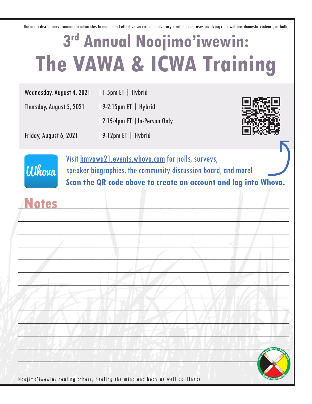The multi-disciplinary training for advocates to implement effective service and advocacy strategies in cases involving child welfare, domestic violence, or both.

## **3rd Annual Noojimo'iwewin: The VAWA & ICWA Training**

| Wednesday, August 4, 2021 | 1-5pm ET $\vert$ Hybrid            |
|---------------------------|------------------------------------|
| Thursday, August 5, 2021  | $\vert$ 9-2:15pm ET $\vert$ Hybrid |
|                           | 2:15-4pm ET   In-Person Only       |
| Friday, August 6, 2021    | $\vert$ 9-12pm ET $\vert$ Hybrid   |





Visit bmvawa21.events.whova.com for polls, surveys, speaker biographies, the community discussion board, and more! **Scan the QR code above to create an account and log into Whova.**

**\_\_\_\_\_\_\_\_\_\_\_\_\_\_\_\_\_\_\_\_\_\_\_\_\_\_\_\_\_\_\_\_\_\_\_\_\_\_\_\_\_\_\_\_\_\_\_\_\_\_\_\_\_\_\_\_\_\_\_**

**\_\_\_\_\_\_\_\_\_\_\_\_\_\_\_\_\_\_\_\_\_\_\_\_\_\_\_\_\_\_\_\_\_\_\_\_\_\_\_\_\_\_\_\_\_\_\_\_\_\_\_\_\_\_\_\_\_\_\_**

**\_\_\_\_\_\_\_\_\_\_\_\_\_\_\_\_\_\_\_\_\_\_\_\_\_\_\_\_\_\_\_\_\_\_\_\_\_\_\_\_\_\_\_\_\_\_\_\_\_\_\_\_\_\_\_\_\_\_\_**

**\_\_\_\_\_\_\_\_\_\_\_\_\_\_\_\_\_\_\_\_\_\_\_\_\_\_\_\_\_\_\_\_\_\_\_\_\_\_\_\_\_\_\_\_\_\_\_\_\_\_\_\_\_\_\_\_\_\_\_**

 $\mathcal{L}$ 

 $\Box$ 

 $\mathcal{L}$  **Let**  $\mathcal{L}$   $\mathcal{L}$   $\mathcal{L}$   $\mathcal{L}$   $\mathcal{L}$   $\mathcal{L}$   $\mathcal{L}$   $\mathcal{L}$   $\mathcal{L}$   $\mathcal{L}$   $\mathcal{L}$   $\mathcal{L}$   $\mathcal{L}$   $\mathcal{L}$   $\mathcal{L}$   $\mathcal{L}$   $\mathcal{L}$   $\mathcal{L}$   $\mathcal{L}$   $\mathcal{L}$   $\mathcal{L}$   $\mathcal{L}$   $\mathcal{L}$ 

 $\frac{1}{2}$ 

 $\mathcal{L}$   $\mathcal{L}$   $\mathcal{L}$   $\mathcal{L}$   $\mathcal{L}$   $\mathcal{L}$   $\mathcal{L}$   $\mathcal{L}$   $\mathcal{L}$   $\mathcal{L}$   $\mathcal{L}$   $\mathcal{L}$   $\mathcal{L}$   $\mathcal{L}$   $\mathcal{L}$   $\mathcal{L}$   $\mathcal{L}$   $\mathcal{L}$   $\mathcal{L}$   $\mathcal{L}$   $\mathcal{L}$   $\mathcal{L}$   $\mathcal{L}$   $\mathcal{L}$   $\mathcal{$ 

**\_\_\_\_\_\_\_\_\_\_\_\_\_\_\_\_\_\_\_\_\_\_\_\_\_\_\_\_\_\_\_\_\_\_\_\_\_\_\_\_\_\_\_\_\_\_\_\_\_\_\_\_\_\_\_\_\_\_\_**

## **\_\_\_\_\_\_\_\_\_\_\_\_\_\_\_\_\_\_\_\_\_\_\_\_\_\_\_\_\_\_\_\_\_\_\_\_\_\_\_\_\_\_\_\_\_\_\_\_\_\_\_\_\_\_\_\_\_\_\_ Notes**



Noojimo'iwewin: healing others, healing the mind and body as well as illness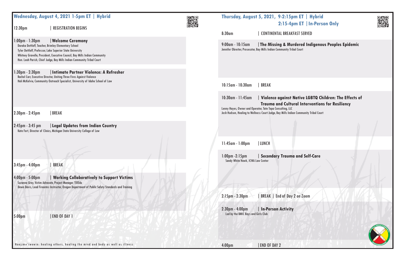|                                   | Wednesday, August 4, 2021 1-5pm ET   Hybrid                                                                                                                                                                                                                                                         |  |                                                                          | <b>Thursday, August 5, 2021, 9-2:15pm ET</b><br>2:15-4pm E1                                                                       |
|-----------------------------------|-----------------------------------------------------------------------------------------------------------------------------------------------------------------------------------------------------------------------------------------------------------------------------------------------------|--|--------------------------------------------------------------------------|-----------------------------------------------------------------------------------------------------------------------------------|
| 12:30 <sub>pm</sub>               | <b>REGISTRATION BEGINS</b>                                                                                                                                                                                                                                                                          |  | 8:30am                                                                   | <b>CONTINENTAL BREAKFAST S</b>                                                                                                    |
| 1:00pm - 1:30pm                   | <b>Nelcome Ceremony</b><br>Daraka Dettloff, Teacher, Brimley Elementary School<br>Tyler Dettloff, Professor, Lake Superior State University<br>Whitney Gravelle, President, Executive Council, Bay Mills Indian Community<br>Hon. Leah Parish, Chief Judge, Bay Mills Indian Community Tribal Court |  | $9:00$ am - 10:15am                                                      | The Missing & Murdere<br>Jennifer Obreiter, Prosecutor, Bay Mills Indian Community Tribal Court                                   |
| $1:30$ pm - $2:30$ pm             | Intimate Partner Violence: A Refresher<br>Rachel Carr, Executive Director, Uniting Three Fires Against Violence                                                                                                                                                                                     |  |                                                                          |                                                                                                                                   |
|                                   | Hali McKelvie, Community Outreach Specialist, University of Idaho School of Law                                                                                                                                                                                                                     |  | 10:15am - 10:30am                                                        | <b>BREAK</b>                                                                                                                      |
|                                   |                                                                                                                                                                                                                                                                                                     |  | 10:30am - 11:45am                                                        | <b>Violence against Nativelle</b><br><b>Trauma and Cultural In</b>                                                                |
| 2:30pm - 2:45pm                   | <b>BREAK</b>                                                                                                                                                                                                                                                                                        |  |                                                                          | Lenny Hayes, Owner and Operator, Tate Topa Consulting, LLC<br>Josh Hudson, Healing to Wellness Court Judge, Bay Mills Indian Comm |
| $2:45$ pm - 3:45 pm               | Legal Updates from Indian Country<br>Kate Fort, Director of Clinics, Michigan State University College of Law                                                                                                                                                                                       |  |                                                                          |                                                                                                                                   |
|                                   |                                                                                                                                                                                                                                                                                                     |  | 11:45am - 1:00pm                                                         | LUNCH                                                                                                                             |
| $3:45$ pm - $4:00$ pm             | <b>BREAK</b>                                                                                                                                                                                                                                                                                        |  | Sandy White Hawk, ICWA Law Center                                        | 1:00pm -2:15pm   Secondary Trauma and                                                                                             |
| $4:00 \text{pm} - 5:00 \text{pm}$ | <b>Working Collaboratively to Support Victims</b><br>Suzanne Grey, Victim Advocate, Project Manager, TIXEdu<br>Dawn Davis, Lead Firearms Instructor, Oregon Department of Public Safety Standards and Training                                                                                      |  |                                                                          |                                                                                                                                   |
|                                   |                                                                                                                                                                                                                                                                                                     |  | 2:15pm - 2:30pm                                                          | BREAK   End of Day 2 on Z                                                                                                         |
| 5:00 <sub>pm</sub>                | <b>END OF DAY 1</b>                                                                                                                                                                                                                                                                                 |  | $2:30 \text{pm} - 4:00 \text{pm}$<br>Led by the BMIC Boys and Girls Club | In-Person Activity                                                                                                                |
|                                   | Noojimo'iwewin: healing others, healing the mind and body as well as illness                                                                                                                                                                                                                        |  | 4:00 <sub>pm</sub>                                                       | END OF DAY 2                                                                                                                      |

## **ET | Hybrid ET | In-Person Only**



e<mark>red Indigenous Peoples Epidemic</mark><br><sup>ourt</sup>

## tive LGBTQ Children: The Effects of *<u>Interventions for Resiliency</u>*

mmunity Tribal Court

 $nd$  Self-Care

n Zoom